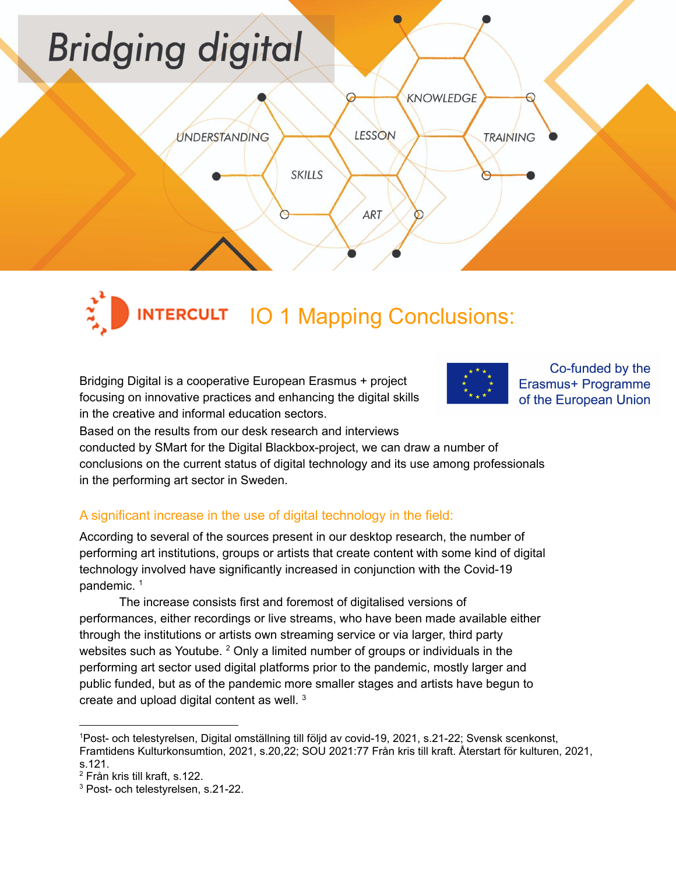# **Bridging digital** KNOWLEDGE LESSON **UNDERSTANDING TRAINING SKILLS**

**INTERCULT 10 1 Mapping Conclusions:** 

**ART** 

 $\sigma$ 

Bridging Digital is a cooperative European Erasmus + project focusing on innovative practices and enhancing the digital skills in the creative and informal education sectors.



Co-funded by the Erasmus+ Programme of the European Union

Based on the results from our desk research and interviews

conducted by SMart for the Digital Blackbox-project, we can draw a number of conclusions on the current status of digital technology and its use among professionals in the performing art sector in Sweden.

# A significant increase in the use of digital technology in the field:

According to several of the sources present in our desktop research, the number of performing art institutions, groups or artists that create content with some kind of digital technology involved have significantly increased in conjunction with the Covid-19 pandemic. 1

The increase consists first and foremost of digitalised versions of performances, either recordings or live streams, who have been made available either through the institutions or artists own streaming service or via larger, third party websites such as Youtube. <sup>2</sup> Only a limited number of groups or individuals in the performing art sector used digital platforms prior to the pandemic, mostly larger and public funded, but as of the pandemic more smaller stages and artists have begun to create and upload digital content as well.  $3$ 

<sup>1</sup>Post- och telestyrelsen, Digital omställning till följd av covid-19, 2021, s.21-22; Svensk scenkonst, Framtidens Kulturkonsumtion, 2021, s.20,22; SOU 2021:77 Från kris till kraft. Återstart för kulturen, 2021, s.121.

<sup>2</sup> Från kris till kraft, s.122.

<sup>3</sup> Post- och telestyrelsen, s.21-22.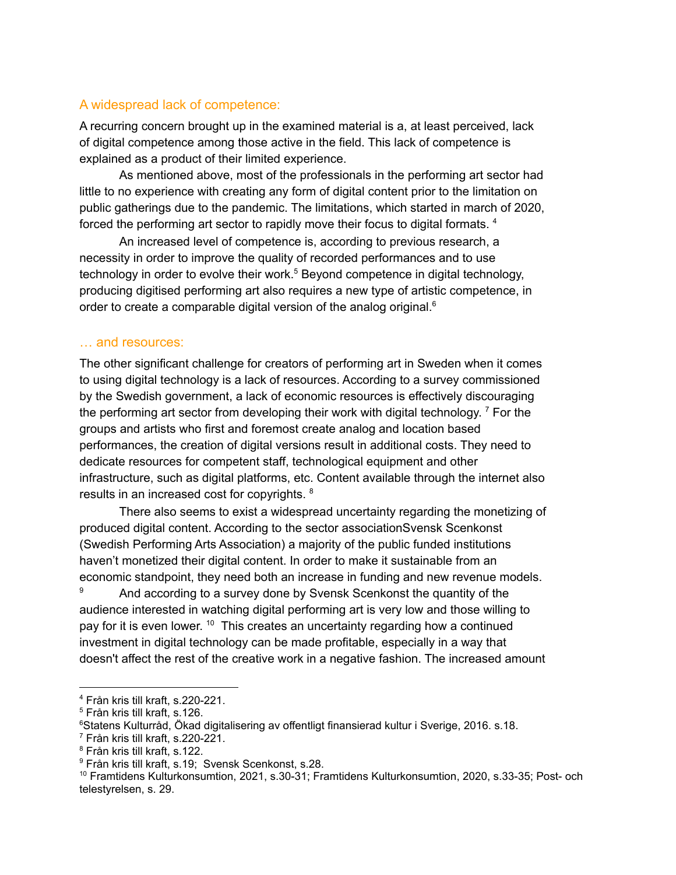## A widespread lack of competence:

A recurring concern brought up in the examined material is a, at least perceived, lack of digital competence among those active in the field. This lack of competence is explained as a product of their limited experience.

As mentioned above, most of the professionals in the performing art sector had little to no experience with creating any form of digital content prior to the limitation on public gatherings due to the pandemic. The limitations, which started in march of 2020, forced the performing art sector to rapidly move their focus to digital formats.<sup>4</sup>

An increased level of competence is, according to previous research, a necessity in order to improve the quality of recorded performances and to use technology in order to evolve their work. <sup>5</sup> Beyond competence in digital technology, producing digitised performing art also requires a new type of artistic competence, in order to create a comparable digital version of the analog original.<sup>6</sup>

#### … and resources:

The other significant challenge for creators of performing art in Sweden when it comes to using digital technology is a lack of resources. According to a survey commissioned by the Swedish government, a lack of economic resources is effectively discouraging the performing art sector from developing their work with digital technology.<sup>7</sup> For the groups and artists who first and foremost create analog and location based performances, the creation of digital versions result in additional costs. They need to dedicate resources for competent staff, technological equipment and other infrastructure, such as digital platforms, etc. Content available through the internet also results in an increased cost for copyrights. <sup>8</sup>

There also seems to exist a widespread uncertainty regarding the monetizing of produced digital content. According to the sector associationSvensk Scenkonst (Swedish Performing Arts Association) a majority of the public funded institutions haven't monetized their digital content. In order to make it sustainable from an economic standpoint, they need both an increase in funding and new revenue models.

<sup>9</sup> And according to a survey done by Svensk Scenkonst the quantity of the audience interested in watching digital performing art is very low and those willing to pay for it is even lower. <sup>10</sup> This creates an uncertainty regarding how a continued investment in digital technology can be made profitable, especially in a way that doesn't affect the rest of the creative work in a negative fashion. The increased amount

<sup>4</sup> Från kris till kraft, s.220-221.

<sup>5</sup> Från kris till kraft, s.126.

<sup>6</sup>Statens Kulturråd, Ökad digitalisering av offentligt finansierad kultur i Sverige, 2016. s.18.

<sup>7</sup> Från kris till kraft, s.220-221.

<sup>8</sup> Från kris till kraft, s.122.

<sup>9</sup> Från kris till kraft, s.19; Svensk Scenkonst, s.28.

<sup>10</sup> Framtidens Kulturkonsumtion, 2021, s.30-31; Framtidens Kulturkonsumtion, 2020, s.33-35; Post- och telestyrelsen, s. 29.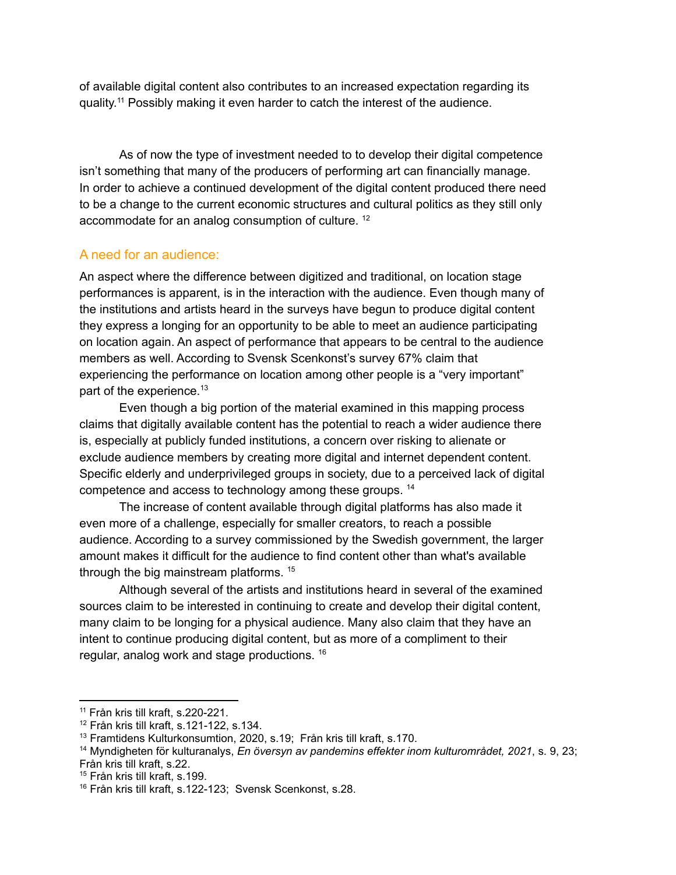of available digital content also contributes to an increased expectation regarding its quality.<sup>11</sup> Possibly making it even harder to catch the interest of the audience.

As of now the type of investment needed to to develop their digital competence isn't something that many of the producers of performing art can financially manage. In order to achieve a continued development of the digital content produced there need to be a change to the current economic structures and cultural politics as they still only accommodate for an analog consumption of culture.<sup>12</sup>

## A need for an audience:

An aspect where the difference between digitized and traditional, on location stage performances is apparent, is in the interaction with the audience. Even though many of the institutions and artists heard in the surveys have begun to produce digital content they express a longing for an opportunity to be able to meet an audience participating on location again. An aspect of performance that appears to be central to the audience members as well. According to Svensk Scenkonst's survey 67% claim that experiencing the performance on location among other people is a "very important" part of the experience.<sup>13</sup>

Even though a big portion of the material examined in this mapping process claims that digitally available content has the potential to reach a wider audience there is, especially at publicly funded institutions, a concern over risking to alienate or exclude audience members by creating more digital and internet dependent content. Specific elderly and underprivileged groups in society, due to a perceived lack of digital competence and access to technology among these groups.<sup>14</sup>

The increase of content available through digital platforms has also made it even more of a challenge, especially for smaller creators, to reach a possible audience. According to a survey commissioned by the Swedish government, the larger amount makes it difficult for the audience to find content other than what's available through the big mainstream platforms.<sup>15</sup>

Although several of the artists and institutions heard in several of the examined sources claim to be interested in continuing to create and develop their digital content, many claim to be longing for a physical audience. Many also claim that they have an intent to continue producing digital content, but as more of a compliment to their regular, analog work and stage productions. 16

<sup>11</sup> Från kris till kraft, s.220-221.

<sup>12</sup> Från kris till kraft, s.121-122, s.134.

<sup>13</sup> Framtidens Kulturkonsumtion, 2020, s.19; Från kris till kraft, s.170.

<sup>14</sup> Myndigheten för kulturanalys, *En översyn av pandemins effekter inom kulturområdet, 2021*, s. 9, 23; Från kris till kraft, s.22.

<sup>15</sup> Från kris till kraft, s.199.

<sup>16</sup> Från kris till kraft, s.122-123; Svensk Scenkonst, s.28.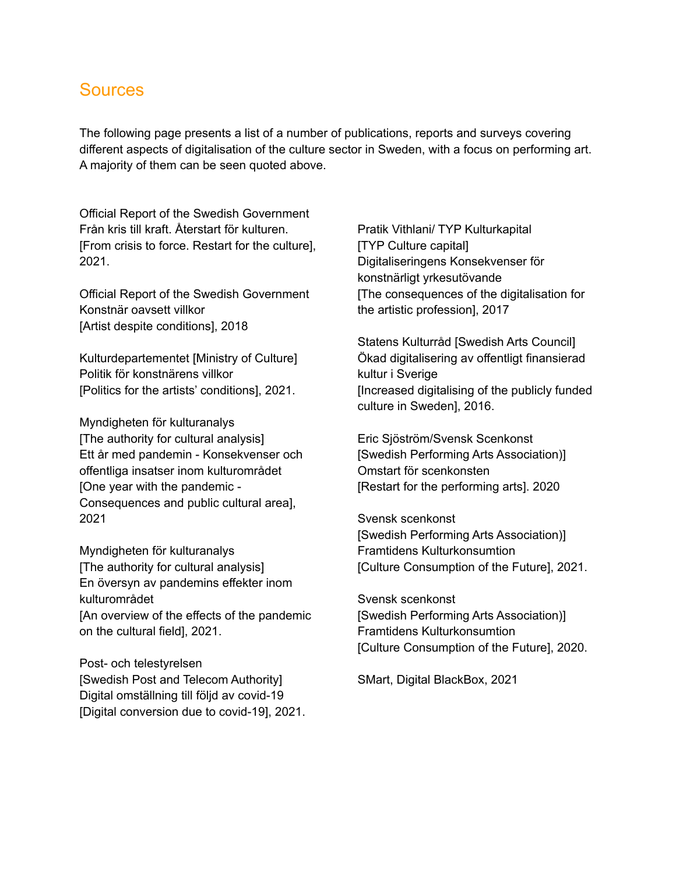# Sources

The following page presents a list of a number of publications, reports and surveys covering different aspects of digitalisation of the culture sector in Sweden, with a focus on performing art. A majority of them can be seen quoted above.

Official Report of the Swedish Government Från kris till kraft. Återstart för kulturen. [From crisis to force. Restart for the culture], 2021.

Official Report of the Swedish Government Konstnär oavsett villkor [Artist despite conditions], 2018

Kulturdepartementet [Ministry of Culture] Politik för konstnärens villkor [Politics for the artists' conditions], 2021.

Myndigheten för kulturanalys [The authority for cultural analysis] Ett år med pandemin - Konsekvenser och offentliga insatser inom kulturområdet [One year with the pandemic - Consequences and public cultural area], 2021

Myndigheten för kulturanalys [The authority for cultural analysis] En översyn av pandemins effekter inom kulturområdet [An overview of the effects of the pandemic on the cultural field], 2021.

Post- och telestyrelsen [Swedish Post and Telecom Authority] Digital omställning till följd av covid-19 [Digital conversion due to covid-19], 2021. Pratik Vithlani/ TYP Kulturkapital [TYP Culture capital] Digitaliseringens Konsekvenser för konstnärligt yrkesutövande [The consequences of the digitalisation for the artistic profession], 2017

Statens Kulturråd [Swedish Arts Council] Ökad digitalisering av offentligt finansierad kultur i Sverige [Increased digitalising of the publicly funded culture in Sweden], 2016.

Eric Sjöström/Svensk Scenkonst [Swedish Performing Arts Association)] Omstart för scenkonsten [Restart for the performing arts]. 2020

Svensk scenkonst [Swedish Performing Arts Association)] Framtidens Kulturkonsumtion [Culture Consumption of the Future], 2021.

Svensk scenkonst [Swedish Performing Arts Association)] Framtidens Kulturkonsumtion [Culture Consumption of the Future], 2020.

SMart, Digital BlackBox, 2021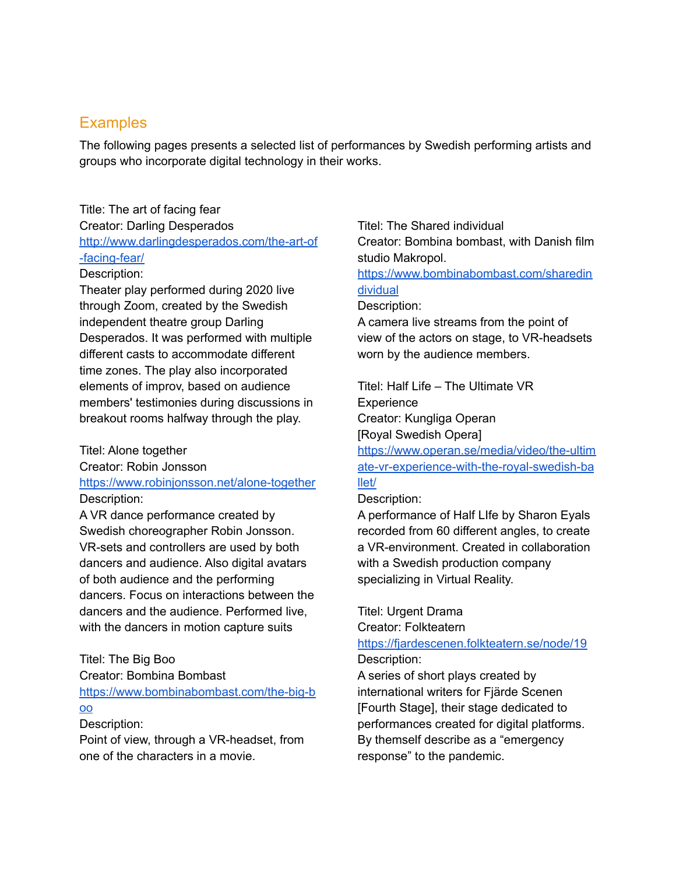# **Examples**

The following pages presents a selected list of performances by Swedish performing artists and groups who incorporate digital technology in their works.

# Title: The art of facing fear Creator: Darling Desperados [http://www.darlingdesperados.com/the-art-of](http://www.darlingdesperados.com/the-art-of-facing-fear/) [-facing-fear/](http://www.darlingdesperados.com/the-art-of-facing-fear/)

#### Description:

Theater play performed during 2020 live through Zoom, created by the Swedish independent theatre group Darling Desperados. It was performed with multiple different casts to accommodate different time zones. The play also incorporated elements of improv, based on audience members' testimonies during discussions in breakout rooms halfway through the play.

#### Titel: Alone together

Creator: Robin Jonsson <https://www.robinjonsson.net/alone-together>

Description:

A VR dance performance created by Swedish choreographer Robin Jonsson. VR-sets and controllers are used by both dancers and audience. Also digital avatars of both audience and the performing dancers. Focus on interactions between the dancers and the audience. Performed live, with the dancers in motion capture suits

#### Titel: The Big Boo

Creator: Bombina Bombast

[https://www.bombinabombast.com/the-big-b](https://www.bombinabombast.com/the-big-boo)

# [oo](https://www.bombinabombast.com/the-big-boo)

Description:

Point of view, through a VR-headset, from one of the characters in a movie.

Titel: The Shared individual Creator: Bombina bombast, with Danish film studio Makropol.

[https://www.bombinabombast.com/sharedin](https://www.bombinabombast.com/sharedindividual) [dividual](https://www.bombinabombast.com/sharedindividual)

#### Description:

A camera live streams from the point of view of the actors on stage, to VR-headsets worn by the audience members.

Titel: Half Life – The Ultimate VR **Experience** 

Creator: Kungliga Operan

[Royal Swedish Opera]

[https://www.operan.se/media/video/the-ultim](https://www.operan.se/media/video/the-ultimate-vr-experience-with-the-royal-swedish-ballet/) [ate-vr-experience-with-the-royal-swedish-ba](https://www.operan.se/media/video/the-ultimate-vr-experience-with-the-royal-swedish-ballet/) [llet/](https://www.operan.se/media/video/the-ultimate-vr-experience-with-the-royal-swedish-ballet/)

## Description:

A performance of Half LIfe by Sharon Eyals recorded from 60 different angles, to create a VR-environment. Created in collaboration with a Swedish production company specializing in Virtual Reality.

Titel: Urgent Drama

Creator: Folkteatern

## <https://fjardescenen.folkteatern.se/node/19> Description:

A series of short plays created by international writers for Fjärde Scenen [Fourth Stage], their stage dedicated to performances created for digital platforms. By themself describe as a "emergency response" to the pandemic.